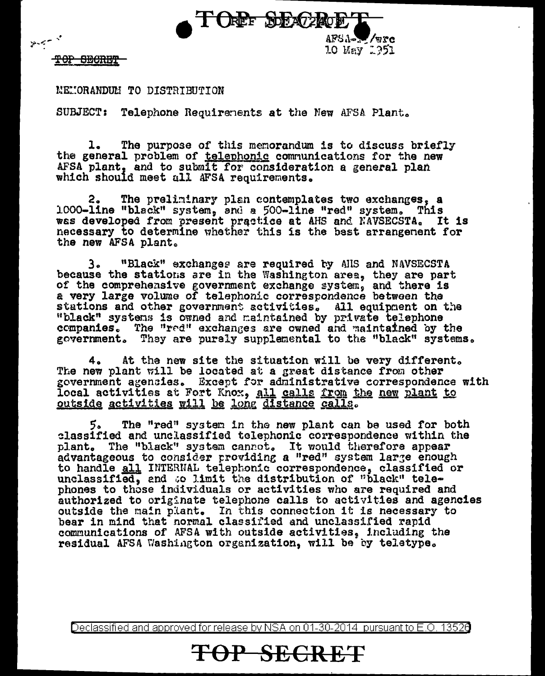

TOP SECRET

 $\gamma < \gamma$ 

MEMORANDUM TO DISTRIBUTION

SUBJECT: Telephone Requirements at the New AFSA Plant.

The purpose of this memorandum is to discuss briefly l. the general problem of telephonic communications for the new AFSA plant, and to submit for consideration a general plan which should meet all AFSA requirements.

The preliminary plan contemplates two exchanges, a 2. 1000-line "black" system, and a 500-line "red" system. This was developed from present practice at AHS and NAVSECSTA. It is necessary to determine whether this is the best arrangement for the new AFSA plant.

"Black" exchanges are required by AHS and NAVSECSTA  $3<sub>a</sub>$ because the stations are in the Washington area, they are part of the comprehensive government exchange system, and there is a very large volume of telephonic correspondence between the stations and other government activities. All equipment on the "black" systems is owned and maintained by private telephone companies. The "red" exchanges are owned and maintained by the government. They are purely supplemental to the "black" systems.

At the new site the situation will be very different. 4. The new plant will be located at a great distance from other government agencies. Except for administrative correspondence with local activities at Fort Knox, all calls from the new plant to outside activities will be long distance calls.

5. The "red" system in the new plant can be used for both classified and unclassified telephonic correspondence within the plant. The "black" system cannot. It would therefore appear advantageous to consider providing a "red" system large enough to handle all INTERNAL telephonic correspondence, classified or unclassified, and to limit the distribution of "black" telephones to those individuals or activities who are required and authorized to originate telephone calls to activities and agencies outside the main plant. In this connection it is necessary to bear in mind that normal classified and unclassified rapid communications of AFSA with outside activities, including the residual AFSA Washington organization, will be by teletype.

Declassified and approved for release by NSA on 01-30-2014 pursuant to E.O. 13526

TOP SECRET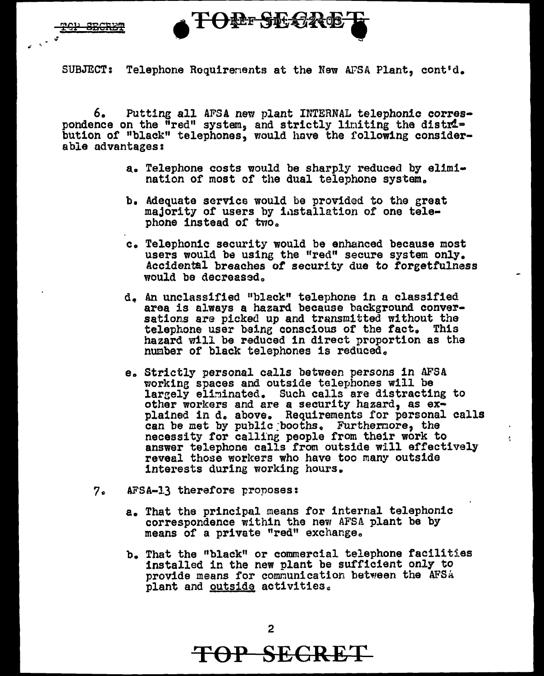<del>rep sneky</del>

**LOFE AF CYC** 

SUBJECT: Telephone Roquirements at the New AFSA Plant, cont'd.

6. Putting all AFSA new plant INTERNAL telephonic correspondence on the  $\bar{u}$ red" system, and strictly limiting the distri= bution of "black" telephones, would have the following considerable advantages:

- a. Telephone costs would be sharply reduced by el1m1 nation of most of the dual telephone system.
- b. Adequate service would be provided to the great majority or users by 1,1stallation of one telephone instead of two.
- c. Telephonic security would be enhanced because most users would be using the "red" secure system only. Accidental breaches *ot* security due to forgetfulness would be decreased.
- d., An unclassified nblack" telephone in a classified area is always a hazard because background conversations are picked up and transmitted without the telephone user being conscious of the fact. This hazard will be reduced in direct proportion as tha number of black telephones is reduced.
- e. Strictly personal calls between persons in AFSA working spaces and outside telephones will be largely eliminated. Such calls are distracting to other workers and are a security hazard, as explained in d. above. Requirements for personal calls can be met by public booths. Furthermore, the necessity for calline people from their work to answer telephone calls from outside will effectively reveal those workers who have too many outside interests during working hours.
- 7. AFSA-13 therefore proposes:
	- a. That the principal means for internal telephonic correspondence within the new AFSA plant be by means of a private "red" exchange.
	- b. That the "black" or commercial telephone facilities installed in the new plant be sufficient only to provide means for communication between the AFSA plant and outside activities.

**TOP SECRET**